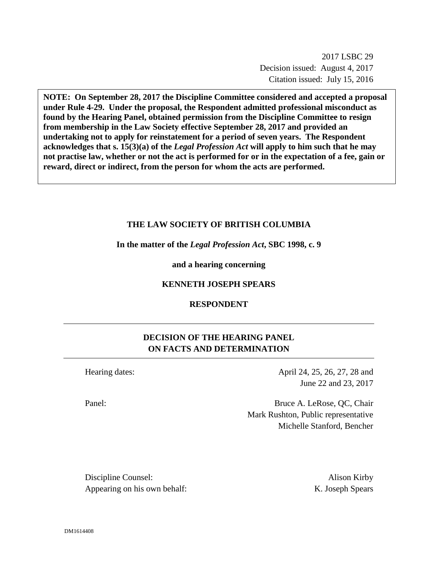2017 LSBC 29 Decision issued: August 4, 2017 Citation issued: July 15, 2016

**NOTE: On September 28, 2017 the Discipline Committee considered and accepted a proposal under Rule 4-29. Under the proposal, the Respondent admitted professional misconduct as found by the Hearing Panel, obtained permission from the Discipline Committee to resign from membership in the Law Society effective September 28, 2017 and provided an undertaking not to apply for reinstatement for a period of seven years. The Respondent acknowledges that s. 15(3)(a) of the** *Legal Profession Act* **will apply to him such that he may not practise law, whether or not the act is performed for or in the expectation of a fee, gain or reward, direct or indirect, from the person for whom the acts are performed.**

#### **THE LAW SOCIETY OF BRITISH COLUMBIA**

**In the matter of the** *Legal Profession Act***, SBC 1998, c. 9** 

**and a hearing concerning**

### **KENNETH JOSEPH SPEARS**

#### **RESPONDENT**

# **DECISION OF THE HEARING PANEL ON FACTS AND DETERMINATION**

Hearing dates: April 24, 25, 26, 27, 28 and June 22 and 23, 2017

Panel: Bruce A. LeRose, QC, Chair Mark Rushton, Public representative Michelle Stanford, Bencher

Discipline Counsel: Alison Kirby Appearing on his own behalf: K. Joseph Spears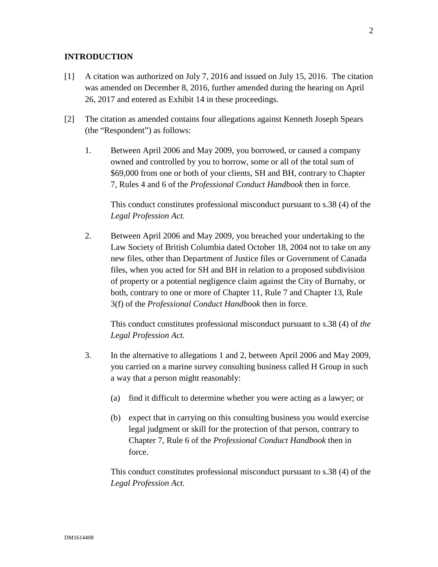## **INTRODUCTION**

- [1] A citation was authorized on July 7, 2016 and issued on July 15, 2016. The citation was amended on December 8, 2016, further amended during the hearing on April 26, 2017 and entered as Exhibit 14 in these proceedings.
- [2] The citation as amended contains four allegations against Kenneth Joseph Spears (the "Respondent") as follows:
	- 1. Between April 2006 and May 2009, you borrowed, or caused a company owned and controlled by you to borrow, some or all of the total sum of \$69,000 from one or both of your clients, SH and BH, contrary to Chapter 7, Rules 4 and 6 of the *Professional Conduct Handbook* then in force.

This conduct constitutes professional misconduct pursuant to s.38 (4) of the *Legal Profession Act.* 

2. Between April 2006 and May 2009, you breached your undertaking to the Law Society of British Columbia dated October 18, 2004 not to take on any new files, other than Department of Justice files or Government of Canada files, when you acted for SH and BH in relation to a proposed subdivision of property or a potential negligence claim against the City of Burnaby, or both, contrary to one or more of Chapter 11, Rule 7 and Chapter 13, Rule 3(f) of the *Professional Conduct Handbook* then in force.

This conduct constitutes professional misconduct pursuant to s.38 (4) of *the Legal Profession Act.* 

- 3. In the alternative to allegations 1 and 2, between April 2006 and May 2009, you carried on a marine survey consulting business called H Group in such a way that a person might reasonably:
	- (a) find it difficult to determine whether you were acting as a lawyer; or
	- (b) expect that in carrying on this consulting business you would exercise legal judgment or skill for the protection of that person, contrary to Chapter 7, Rule 6 of the *Professional Conduct Handbook* then in force.

This conduct constitutes professional misconduct pursuant to s.38 (4) of the *Legal Profession Act.*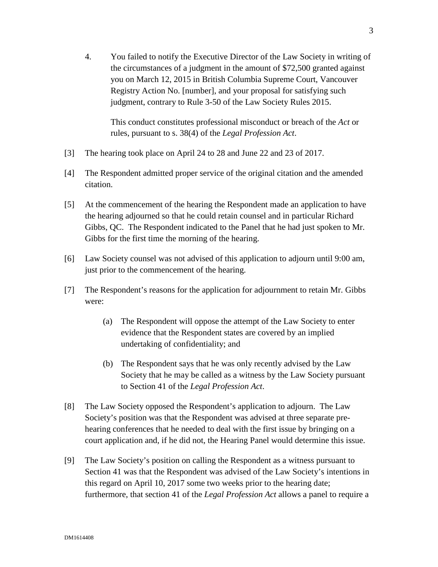4. You failed to notify the Executive Director of the Law Society in writing of the circumstances of a judgment in the amount of \$72,500 granted against you on March 12, 2015 in British Columbia Supreme Court, Vancouver Registry Action No. [number], and your proposal for satisfying such judgment, contrary to Rule 3-50 of the Law Society Rules 2015.

This conduct constitutes professional misconduct or breach of the *Act* or rules, pursuant to s. 38(4) of the *Legal Profession Act*.

- [3] The hearing took place on April 24 to 28 and June 22 and 23 of 2017.
- [4] The Respondent admitted proper service of the original citation and the amended citation.
- [5] At the commencement of the hearing the Respondent made an application to have the hearing adjourned so that he could retain counsel and in particular Richard Gibbs, QC. The Respondent indicated to the Panel that he had just spoken to Mr. Gibbs for the first time the morning of the hearing.
- [6] Law Society counsel was not advised of this application to adjourn until 9:00 am, just prior to the commencement of the hearing.
- [7] The Respondent's reasons for the application for adjournment to retain Mr. Gibbs were:
	- (a) The Respondent will oppose the attempt of the Law Society to enter evidence that the Respondent states are covered by an implied undertaking of confidentiality; and
	- (b) The Respondent says that he was only recently advised by the Law Society that he may be called as a witness by the Law Society pursuant to Section 41 of the *Legal Profession Act*.
- [8] The Law Society opposed the Respondent's application to adjourn. The Law Society's position was that the Respondent was advised at three separate prehearing conferences that he needed to deal with the first issue by bringing on a court application and, if he did not, the Hearing Panel would determine this issue.
- [9] The Law Society's position on calling the Respondent as a witness pursuant to Section 41 was that the Respondent was advised of the Law Society's intentions in this regard on April 10, 2017 some two weeks prior to the hearing date; furthermore, that section 41 of the *Legal Profession Act* allows a panel to require a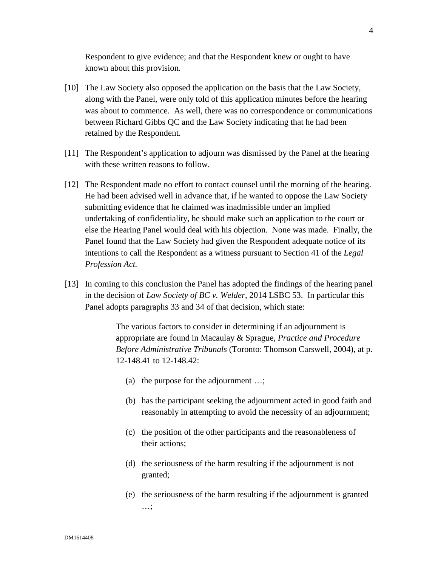Respondent to give evidence; and that the Respondent knew or ought to have known about this provision.

- [10] The Law Society also opposed the application on the basis that the Law Society, along with the Panel, were only told of this application minutes before the hearing was about to commence. As well, there was no correspondence or communications between Richard Gibbs QC and the Law Society indicating that he had been retained by the Respondent.
- [11] The Respondent's application to adjourn was dismissed by the Panel at the hearing with these written reasons to follow.
- [12] The Respondent made no effort to contact counsel until the morning of the hearing. He had been advised well in advance that, if he wanted to oppose the Law Society submitting evidence that he claimed was inadmissible under an implied undertaking of confidentiality, he should make such an application to the court or else the Hearing Panel would deal with his objection. None was made. Finally, the Panel found that the Law Society had given the Respondent adequate notice of its intentions to call the Respondent as a witness pursuant to Section 41 of the *Legal Profession Act.*
- [13] In coming to this conclusion the Panel has adopted the findings of the hearing panel in the decision of *Law Society of BC v. Welder*, 2014 LSBC 53. In particular this Panel adopts paragraphs 33 and 34 of that decision, which state:

The various factors to consider in determining if an adjournment is appropriate are found in Macaulay & Sprague*, Practice and Procedure Before Administrative Tribunals* (Toronto: Thomson Carswell, 2004), at p. 12-148.41 to 12-148.42:

- (a) the purpose for the adjournment …;
- (b) has the participant seeking the adjournment acted in good faith and reasonably in attempting to avoid the necessity of an adjournment;
- (c) the position of the other participants and the reasonableness of their actions;
- (d) the seriousness of the harm resulting if the adjournment is not granted;
- (e) the seriousness of the harm resulting if the adjournment is granted …;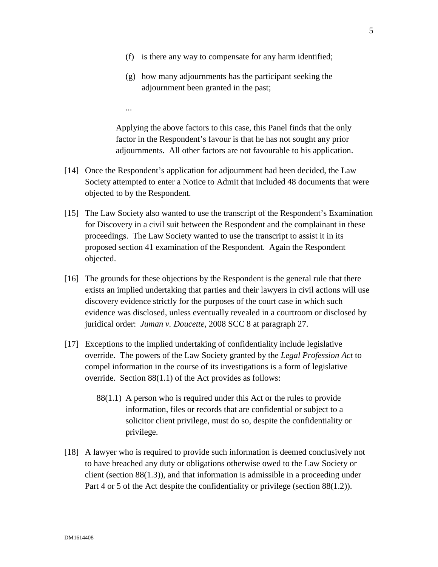- (f) is there any way to compensate for any harm identified;
- (g) how many adjournments has the participant seeking the adjournment been granted in the past;

...

Applying the above factors to this case, this Panel finds that the only factor in the Respondent's favour is that he has not sought any prior adjournments. All other factors are not favourable to his application.

- [14] Once the Respondent's application for adjournment had been decided, the Law Society attempted to enter a Notice to Admit that included 48 documents that were objected to by the Respondent.
- [15] The Law Society also wanted to use the transcript of the Respondent's Examination for Discovery in a civil suit between the Respondent and the complainant in these proceedings. The Law Society wanted to use the transcript to assist it in its proposed section 41 examination of the Respondent. Again the Respondent objected.
- [16] The grounds for these objections by the Respondent is the general rule that there exists an implied undertaking that parties and their lawyers in civil actions will use discovery evidence strictly for the purposes of the court case in which such evidence was disclosed, unless eventually revealed in a courtroom or disclosed by juridical order: *Juman v. Doucette*, 2008 SCC 8 at paragraph 27.
- [17] Exceptions to the implied undertaking of confidentiality include legislative override. The powers of the Law Society granted by the *Legal Profession Act* to compel information in the course of its investigations is a form of legislative override. Section 88(1.1) of the Act provides as follows:
	- 88(1.1) A person who is required under this Act or the rules to provide information, files or records that are confidential or subject to a solicitor client privilege, must do so, despite the confidentiality or privilege.
- [18] A lawyer who is required to provide such information is deemed conclusively not to have breached any duty or obligations otherwise owed to the Law Society or client (section 88(1.3)), and that information is admissible in a proceeding under Part 4 or 5 of the Act despite the confidentiality or privilege (section 88(1.2)).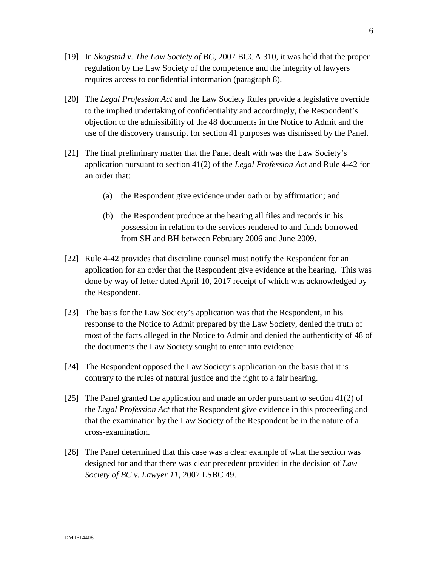- [19] In *Skogstad v. The Law Society of BC*, 2007 BCCA 310, it was held that the proper regulation by the Law Society of the competence and the integrity of lawyers requires access to confidential information (paragraph 8).
- [20] The *Legal Profession Act* and the Law Society Rules provide a legislative override to the implied undertaking of confidentiality and accordingly, the Respondent's objection to the admissibility of the 48 documents in the Notice to Admit and the use of the discovery transcript for section 41 purposes was dismissed by the Panel.
- [21] The final preliminary matter that the Panel dealt with was the Law Society's application pursuant to section 41(2) of the *Legal Profession Act* and Rule 4-42 for an order that:
	- (a) the Respondent give evidence under oath or by affirmation; and
	- (b) the Respondent produce at the hearing all files and records in his possession in relation to the services rendered to and funds borrowed from SH and BH between February 2006 and June 2009.
- [22] Rule 4-42 provides that discipline counsel must notify the Respondent for an application for an order that the Respondent give evidence at the hearing. This was done by way of letter dated April 10, 2017 receipt of which was acknowledged by the Respondent.
- [23] The basis for the Law Society's application was that the Respondent, in his response to the Notice to Admit prepared by the Law Society, denied the truth of most of the facts alleged in the Notice to Admit and denied the authenticity of 48 of the documents the Law Society sought to enter into evidence.
- [24] The Respondent opposed the Law Society's application on the basis that it is contrary to the rules of natural justice and the right to a fair hearing.
- [25] The Panel granted the application and made an order pursuant to section 41(2) of the *Legal Profession Act* that the Respondent give evidence in this proceeding and that the examination by the Law Society of the Respondent be in the nature of a cross-examination.
- [26] The Panel determined that this case was a clear example of what the section was designed for and that there was clear precedent provided in the decision of *Law Society of BC v. Lawyer 11*, 2007 LSBC 49.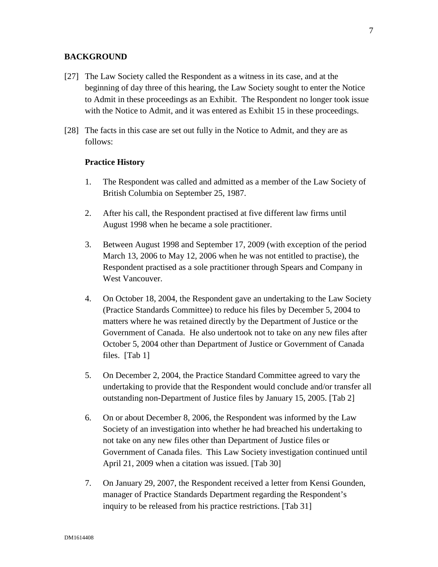### **BACKGROUND**

- [27] The Law Society called the Respondent as a witness in its case, and at the beginning of day three of this hearing, the Law Society sought to enter the Notice to Admit in these proceedings as an Exhibit. The Respondent no longer took issue with the Notice to Admit, and it was entered as Exhibit 15 in these proceedings.
- [28] The facts in this case are set out fully in the Notice to Admit, and they are as follows:

#### **Practice History**

- 1. The Respondent was called and admitted as a member of the Law Society of British Columbia on September 25, 1987.
- 2. After his call, the Respondent practised at five different law firms until August 1998 when he became a sole practitioner.
- 3. Between August 1998 and September 17, 2009 (with exception of the period March 13, 2006 to May 12, 2006 when he was not entitled to practise), the Respondent practised as a sole practitioner through Spears and Company in West Vancouver.
- 4. On October 18, 2004, the Respondent gave an undertaking to the Law Society (Practice Standards Committee) to reduce his files by December 5, 2004 to matters where he was retained directly by the Department of Justice or the Government of Canada. He also undertook not to take on any new files after October 5, 2004 other than Department of Justice or Government of Canada files. [Tab 1]
- 5. On December 2, 2004, the Practice Standard Committee agreed to vary the undertaking to provide that the Respondent would conclude and/or transfer all outstanding non-Department of Justice files by January 15, 2005. [Tab 2]
- 6. On or about December 8, 2006, the Respondent was informed by the Law Society of an investigation into whether he had breached his undertaking to not take on any new files other than Department of Justice files or Government of Canada files. This Law Society investigation continued until April 21, 2009 when a citation was issued. [Tab 30]
- 7. On January 29, 2007, the Respondent received a letter from Kensi Gounden, manager of Practice Standards Department regarding the Respondent's inquiry to be released from his practice restrictions. [Tab 31]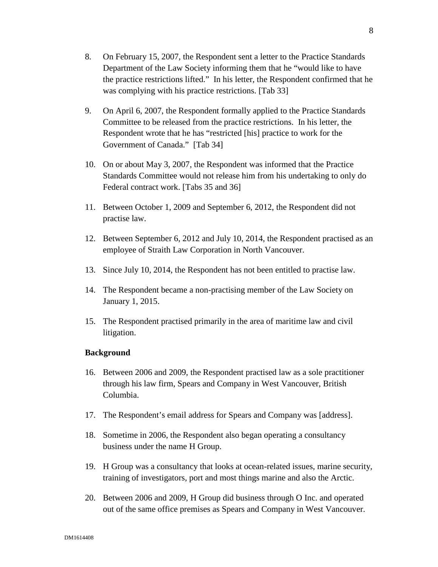- 8. On February 15, 2007, the Respondent sent a letter to the Practice Standards Department of the Law Society informing them that he "would like to have the practice restrictions lifted." In his letter, the Respondent confirmed that he was complying with his practice restrictions. [Tab 33]
- 9. On April 6, 2007, the Respondent formally applied to the Practice Standards Committee to be released from the practice restrictions. In his letter, the Respondent wrote that he has "restricted [his] practice to work for the Government of Canada." [Tab 34]
- 10. On or about May 3, 2007, the Respondent was informed that the Practice Standards Committee would not release him from his undertaking to only do Federal contract work. [Tabs 35 and 36]
- 11. Between October 1, 2009 and September 6, 2012, the Respondent did not practise law.
- 12. Between September 6, 2012 and July 10, 2014, the Respondent practised as an employee of Straith Law Corporation in North Vancouver.
- 13. Since July 10, 2014, the Respondent has not been entitled to practise law.
- 14. The Respondent became a non-practising member of the Law Society on January 1, 2015.
- 15. The Respondent practised primarily in the area of maritime law and civil litigation.

#### **Background**

- 16. Between 2006 and 2009, the Respondent practised law as a sole practitioner through his law firm, Spears and Company in West Vancouver, British Columbia.
- 17. The Respondent's email address for Spears and Company was [address].
- 18. Sometime in 2006, the Respondent also began operating a consultancy business under the name H Group.
- 19. H Group was a consultancy that looks at ocean-related issues, marine security, training of investigators, port and most things marine and also the Arctic.
- 20. Between 2006 and 2009, H Group did business through O Inc. and operated out of the same office premises as Spears and Company in West Vancouver.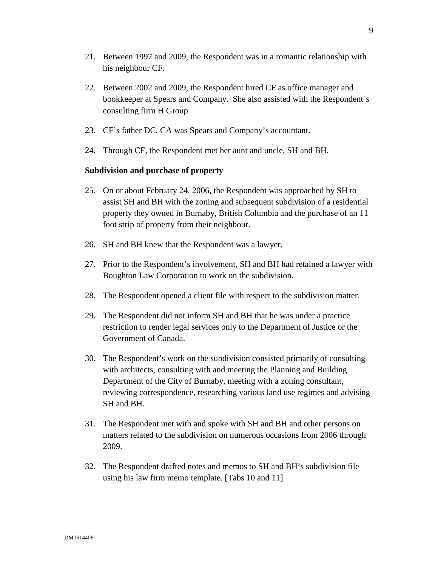- 21. Between 1997 and 2009, the Respondent was in a romantic relationship with his neighbour CF.
- 22. Between 2002 and 2009, the Respondent hired CF as office manager and bookkeeper at Spears and Company. She also assisted with the Respondent`s consulting firm H Group.
- 23. CF's father DC, CA was Spears and Company's accountant.
- 24. Through CF, the Respondent met her aunt and uncle, SH and BH.

#### **Subdivision and purchase of property**

- 25. On or about February 24, 2006, the Respondent was approached by SH to assist SH and BH with the zoning and subsequent subdivision of a residential property they owned in Burnaby, British Columbia and the purchase of an 11 foot strip of property from their neighbour.
- 26. SH and BH knew that the Respondent was a lawyer.
- 27. Prior to the Respondent's involvement, SH and BH had retained a lawyer with Boughton Law Corporation to work on the subdivision.
- 28. The Respondent opened a client file with respect to the subdivision matter.
- 29. The Respondent did not inform SH and BH that he was under a practice restriction to render legal services only to the Department of Justice or the Government of Canada.
- 30. The Respondent's work on the subdivision consisted primarily of consulting with architects, consulting with and meeting the Planning and Building Department of the City of Burnaby, meeting with a zoning consultant, reviewing correspondence, researching various land use regimes and advising SH and BH.
- 31. The Respondent met with and spoke with SH and BH and other persons on matters related to the subdivision on numerous occasions from 2006 through 2009.
- 32. The Respondent drafted notes and memos to SH and BH's subdivision file using his law firm memo template. [Tabs 10 and 11]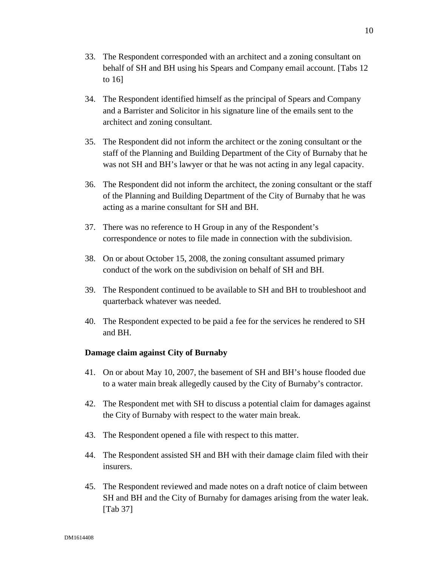- 34. The Respondent identified himself as the principal of Spears and Company and a Barrister and Solicitor in his signature line of the emails sent to the architect and zoning consultant.
- 35. The Respondent did not inform the architect or the zoning consultant or the staff of the Planning and Building Department of the City of Burnaby that he was not SH and BH's lawyer or that he was not acting in any legal capacity.
- 36. The Respondent did not inform the architect, the zoning consultant or the staff of the Planning and Building Department of the City of Burnaby that he was acting as a marine consultant for SH and BH.
- 37. There was no reference to H Group in any of the Respondent's correspondence or notes to file made in connection with the subdivision.
- 38. On or about October 15, 2008, the zoning consultant assumed primary conduct of the work on the subdivision on behalf of SH and BH.
- 39. The Respondent continued to be available to SH and BH to troubleshoot and quarterback whatever was needed.
- 40. The Respondent expected to be paid a fee for the services he rendered to SH and BH.

# **Damage claim against City of Burnaby**

to 16]

- 41. On or about May 10, 2007, the basement of SH and BH's house flooded due to a water main break allegedly caused by the City of Burnaby's contractor.
- 42. The Respondent met with SH to discuss a potential claim for damages against the City of Burnaby with respect to the water main break.
- 43. The Respondent opened a file with respect to this matter.
- 44. The Respondent assisted SH and BH with their damage claim filed with their insurers.
- 45. The Respondent reviewed and made notes on a draft notice of claim between SH and BH and the City of Burnaby for damages arising from the water leak. [Tab 37]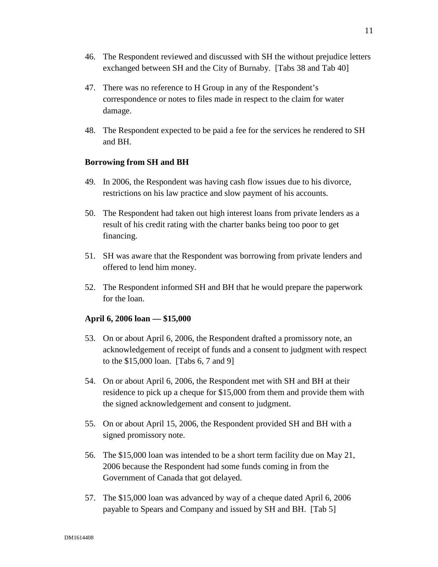- 46. The Respondent reviewed and discussed with SH the without prejudice letters exchanged between SH and the City of Burnaby. [Tabs 38 and Tab 40]
- 47. There was no reference to H Group in any of the Respondent's correspondence or notes to files made in respect to the claim for water damage.
- 48. The Respondent expected to be paid a fee for the services he rendered to SH and BH.

## **Borrowing from SH and BH**

- 49. In 2006, the Respondent was having cash flow issues due to his divorce, restrictions on his law practice and slow payment of his accounts.
- 50. The Respondent had taken out high interest loans from private lenders as a result of his credit rating with the charter banks being too poor to get financing.
- 51. SH was aware that the Respondent was borrowing from private lenders and offered to lend him money.
- 52. The Respondent informed SH and BH that he would prepare the paperwork for the loan.

## **April 6, 2006 loan — \$15,000**

- 53. On or about April 6, 2006, the Respondent drafted a promissory note, an acknowledgement of receipt of funds and a consent to judgment with respect to the \$15,000 loan. [Tabs 6, 7 and 9]
- 54. On or about April 6, 2006, the Respondent met with SH and BH at their residence to pick up a cheque for \$15,000 from them and provide them with the signed acknowledgement and consent to judgment.
- 55. On or about April 15, 2006, the Respondent provided SH and BH with a signed promissory note.
- 56. The \$15,000 loan was intended to be a short term facility due on May 21, 2006 because the Respondent had some funds coming in from the Government of Canada that got delayed.
- 57. The \$15,000 loan was advanced by way of a cheque dated April 6, 2006 payable to Spears and Company and issued by SH and BH. [Tab 5]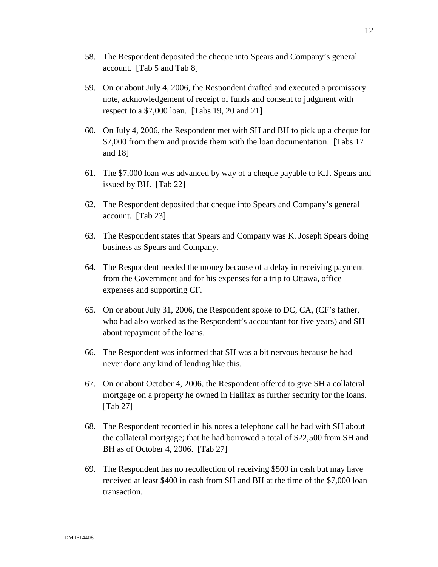- 58. The Respondent deposited the cheque into Spears and Company's general account. [Tab 5 and Tab 8]
- 59. On or about July 4, 2006, the Respondent drafted and executed a promissory note, acknowledgement of receipt of funds and consent to judgment with respect to a \$7,000 loan. [Tabs 19, 20 and 21]
- 60. On July 4, 2006, the Respondent met with SH and BH to pick up a cheque for \$7,000 from them and provide them with the loan documentation. [Tabs 17 and 18]
- 61. The \$7,000 loan was advanced by way of a cheque payable to K.J. Spears and issued by BH. [Tab 22]
- 62. The Respondent deposited that cheque into Spears and Company's general account. [Tab 23]
- 63. The Respondent states that Spears and Company was K. Joseph Spears doing business as Spears and Company.
- 64. The Respondent needed the money because of a delay in receiving payment from the Government and for his expenses for a trip to Ottawa, office expenses and supporting CF.
- 65. On or about July 31, 2006, the Respondent spoke to DC, CA, (CF's father, who had also worked as the Respondent's accountant for five years) and SH about repayment of the loans.
- 66. The Respondent was informed that SH was a bit nervous because he had never done any kind of lending like this.
- 67. On or about October 4, 2006, the Respondent offered to give SH a collateral mortgage on a property he owned in Halifax as further security for the loans. [Tab 27]
- 68. The Respondent recorded in his notes a telephone call he had with SH about the collateral mortgage; that he had borrowed a total of \$22,500 from SH and BH as of October 4, 2006. [Tab 27]
- 69. The Respondent has no recollection of receiving \$500 in cash but may have received at least \$400 in cash from SH and BH at the time of the \$7,000 loan transaction.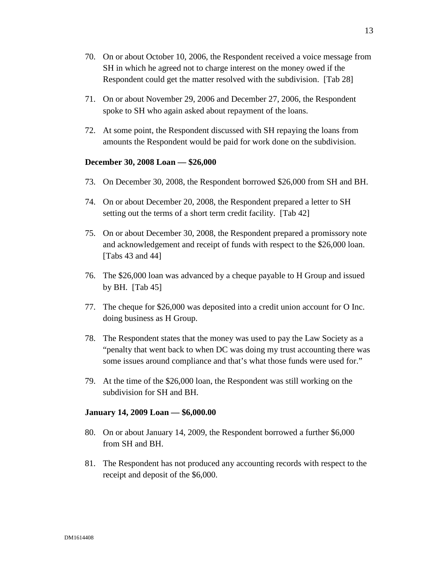- 70. On or about October 10, 2006, the Respondent received a voice message from SH in which he agreed not to charge interest on the money owed if the Respondent could get the matter resolved with the subdivision. [Tab 28]
- 71. On or about November 29, 2006 and December 27, 2006, the Respondent spoke to SH who again asked about repayment of the loans.
- 72. At some point, the Respondent discussed with SH repaying the loans from amounts the Respondent would be paid for work done on the subdivision.

#### **December 30, 2008 Loan — \$26,000**

- 73. On December 30, 2008, the Respondent borrowed \$26,000 from SH and BH.
- 74. On or about December 20, 2008, the Respondent prepared a letter to SH setting out the terms of a short term credit facility. [Tab 42]
- 75. On or about December 30, 2008, the Respondent prepared a promissory note and acknowledgement and receipt of funds with respect to the \$26,000 loan. [Tabs 43 and 44]
- 76. The \$26,000 loan was advanced by a cheque payable to H Group and issued by BH. [Tab 45]
- 77. The cheque for \$26,000 was deposited into a credit union account for O Inc. doing business as H Group.
- 78. The Respondent states that the money was used to pay the Law Society as a "penalty that went back to when DC was doing my trust accounting there was some issues around compliance and that's what those funds were used for."
- 79. At the time of the \$26,000 loan, the Respondent was still working on the subdivision for SH and BH.

#### **January 14, 2009 Loan — \$6,000.00**

- 80. On or about January 14, 2009, the Respondent borrowed a further \$6,000 from SH and BH.
- 81. The Respondent has not produced any accounting records with respect to the receipt and deposit of the \$6,000.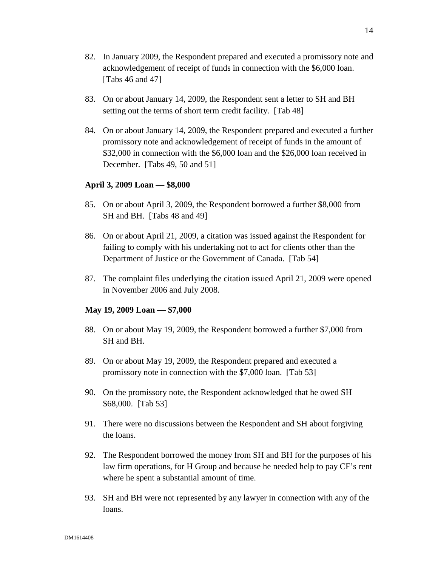- 82. In January 2009, the Respondent prepared and executed a promissory note and acknowledgement of receipt of funds in connection with the \$6,000 loan. [Tabs 46 and 47]
- 83. On or about January 14, 2009, the Respondent sent a letter to SH and BH setting out the terms of short term credit facility. [Tab 48]
- 84. On or about January 14, 2009, the Respondent prepared and executed a further promissory note and acknowledgement of receipt of funds in the amount of \$32,000 in connection with the \$6,000 loan and the \$26,000 loan received in December. [Tabs 49, 50 and 51]

#### **April 3, 2009 Loan — \$8,000**

- 85. On or about April 3, 2009, the Respondent borrowed a further \$8,000 from SH and BH. [Tabs 48 and 49]
- 86. On or about April 21, 2009, a citation was issued against the Respondent for failing to comply with his undertaking not to act for clients other than the Department of Justice or the Government of Canada. [Tab 54]
- 87. The complaint files underlying the citation issued April 21, 2009 were opened in November 2006 and July 2008.

#### **May 19, 2009 Loan — \$7,000**

- 88. On or about May 19, 2009, the Respondent borrowed a further \$7,000 from SH and BH.
- 89. On or about May 19, 2009, the Respondent prepared and executed a promissory note in connection with the \$7,000 loan. [Tab 53]
- 90. On the promissory note, the Respondent acknowledged that he owed SH \$68,000. [Tab 53]
- 91. There were no discussions between the Respondent and SH about forgiving the loans.
- 92. The Respondent borrowed the money from SH and BH for the purposes of his law firm operations, for H Group and because he needed help to pay CF's rent where he spent a substantial amount of time.
- 93. SH and BH were not represented by any lawyer in connection with any of the loans.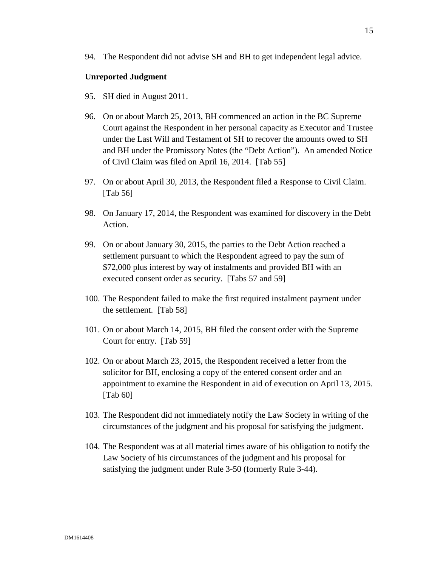#### **Unreported Judgment**

- 95. SH died in August 2011.
- 96. On or about March 25, 2013, BH commenced an action in the BC Supreme Court against the Respondent in her personal capacity as Executor and Trustee under the Last Will and Testament of SH to recover the amounts owed to SH and BH under the Promissory Notes (the "Debt Action"). An amended Notice of Civil Claim was filed on April 16, 2014. [Tab 55]
- 97. On or about April 30, 2013, the Respondent filed a Response to Civil Claim. [Tab 56]
- 98. On January 17, 2014, the Respondent was examined for discovery in the Debt Action.
- 99. On or about January 30, 2015, the parties to the Debt Action reached a settlement pursuant to which the Respondent agreed to pay the sum of \$72,000 plus interest by way of instalments and provided BH with an executed consent order as security. [Tabs 57 and 59]
- 100. The Respondent failed to make the first required instalment payment under the settlement. [Tab 58]
- 101. On or about March 14, 2015, BH filed the consent order with the Supreme Court for entry. [Tab 59]
- 102. On or about March 23, 2015, the Respondent received a letter from the solicitor for BH, enclosing a copy of the entered consent order and an appointment to examine the Respondent in aid of execution on April 13, 2015. [Tab 60]
- 103. The Respondent did not immediately notify the Law Society in writing of the circumstances of the judgment and his proposal for satisfying the judgment.
- 104. The Respondent was at all material times aware of his obligation to notify the Law Society of his circumstances of the judgment and his proposal for satisfying the judgment under Rule 3-50 (formerly Rule 3-44).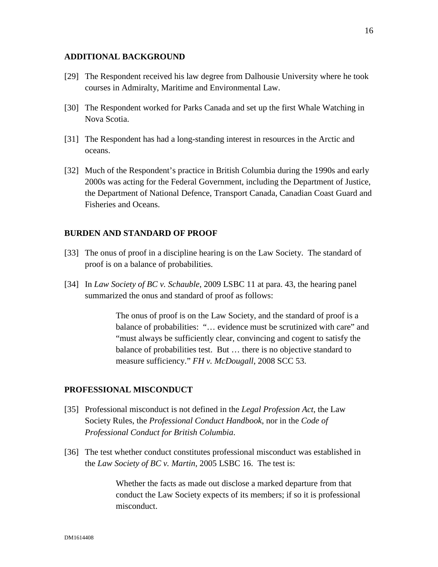### **ADDITIONAL BACKGROUND**

- [29] The Respondent received his law degree from Dalhousie University where he took courses in Admiralty, Maritime and Environmental Law.
- [30] The Respondent worked for Parks Canada and set up the first Whale Watching in Nova Scotia.
- [31] The Respondent has had a long-standing interest in resources in the Arctic and oceans.
- [32] Much of the Respondent's practice in British Columbia during the 1990s and early 2000s was acting for the Federal Government, including the Department of Justice, the Department of National Defence, Transport Canada, Canadian Coast Guard and Fisheries and Oceans.

#### **BURDEN AND STANDARD OF PROOF**

- [33] The onus of proof in a discipline hearing is on the Law Society. The standard of proof is on a balance of probabilities.
- [34] In *Law Society of BC v. Schauble*, 2009 LSBC 11 at para. 43, the hearing panel summarized the onus and standard of proof as follows:

The onus of proof is on the Law Society, and the standard of proof is a balance of probabilities: "… evidence must be scrutinized with care" and "must always be sufficiently clear, convincing and cogent to satisfy the balance of probabilities test. But … there is no objective standard to measure sufficiency." *FH v. McDougall*, 2008 SCC 53.

#### **PROFESSIONAL MISCONDUCT**

- [35] Professional misconduct is not defined in the *Legal Profession Act*, the Law Society Rules, the *Professional Conduct Handbook*, nor in the *Code of Professional Conduct for British Columbia*.
- [36] The test whether conduct constitutes professional misconduct was established in the *Law Society of BC v. Martin*, 2005 LSBC 16. The test is:

Whether the facts as made out disclose a marked departure from that conduct the Law Society expects of its members; if so it is professional misconduct.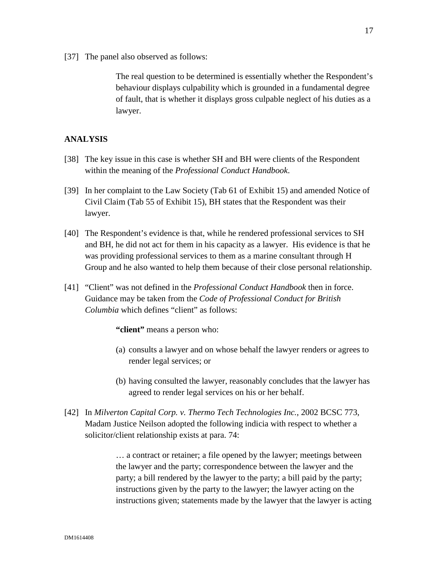[37] The panel also observed as follows:

The real question to be determined is essentially whether the Respondent's behaviour displays culpability which is grounded in a fundamental degree of fault, that is whether it displays gross culpable neglect of his duties as a lawyer.

## **ANALYSIS**

- [38] The key issue in this case is whether SH and BH were clients of the Respondent within the meaning of the *Professional Conduct Handbook*.
- [39] In her complaint to the Law Society (Tab 61 of Exhibit 15) and amended Notice of Civil Claim (Tab 55 of Exhibit 15), BH states that the Respondent was their lawyer.
- [40] The Respondent's evidence is that, while he rendered professional services to SH and BH, he did not act for them in his capacity as a lawyer. His evidence is that he was providing professional services to them as a marine consultant through H Group and he also wanted to help them because of their close personal relationship.
- [41] "Client" was not defined in the *Professional Conduct Handbook* then in force. Guidance may be taken from the *Code of Professional Conduct for British Columbia* which defines "client" as follows:

**"client"** means a person who:

- (a) consults a lawyer and on whose behalf the lawyer renders or agrees to render legal services; or
- (b) having consulted the lawyer, reasonably concludes that the lawyer has agreed to render legal services on his or her behalf.
- [42] In *Milverton Capital Corp. v. Thermo Tech Technologies Inc.*, 2002 BCSC 773, Madam Justice Neilson adopted the following indicia with respect to whether a solicitor/client relationship exists at para. 74:

… a contract or retainer; a file opened by the lawyer; meetings between the lawyer and the party; correspondence between the lawyer and the party; a bill rendered by the lawyer to the party; a bill paid by the party; instructions given by the party to the lawyer; the lawyer acting on the instructions given; statements made by the lawyer that the lawyer is acting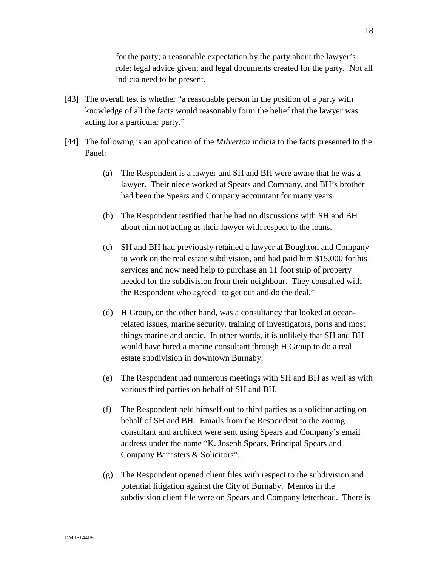for the party; a reasonable expectation by the party about the lawyer's role; legal advice given; and legal documents created for the party. Not all indicia need to be present.

- [43] The overall test is whether "a reasonable person in the position of a party with knowledge of all the facts would reasonably form the belief that the lawyer was acting for a particular party."
- [44] The following is an application of the *Milverton* indicia to the facts presented to the Panel:
	- (a) The Respondent is a lawyer and SH and BH were aware that he was a lawyer. Their niece worked at Spears and Company, and BH's brother had been the Spears and Company accountant for many years.
	- (b) The Respondent testified that he had no discussions with SH and BH about him not acting as their lawyer with respect to the loans.
	- (c) SH and BH had previously retained a lawyer at Boughton and Company to work on the real estate subdivision, and had paid him \$15,000 for his services and now need help to purchase an 11 foot strip of property needed for the subdivision from their neighbour. They consulted with the Respondent who agreed "to get out and do the deal."
	- (d) H Group, on the other hand, was a consultancy that looked at oceanrelated issues, marine security, training of investigators, ports and most things marine and arctic. In other words, it is unlikely that SH and BH would have hired a marine consultant through H Group to do a real estate subdivision in downtown Burnaby.
	- (e) The Respondent had numerous meetings with SH and BH as well as with various third parties on behalf of SH and BH.
	- (f) The Respondent held himself out to third parties as a solicitor acting on behalf of SH and BH. Emails from the Respondent to the zoning consultant and architect were sent using Spears and Company's email address under the name "K. Joseph Spears, Principal Spears and Company Barristers & Solicitors".
	- (g) The Respondent opened client files with respect to the subdivision and potential litigation against the City of Burnaby. Memos in the subdivision client file were on Spears and Company letterhead. There is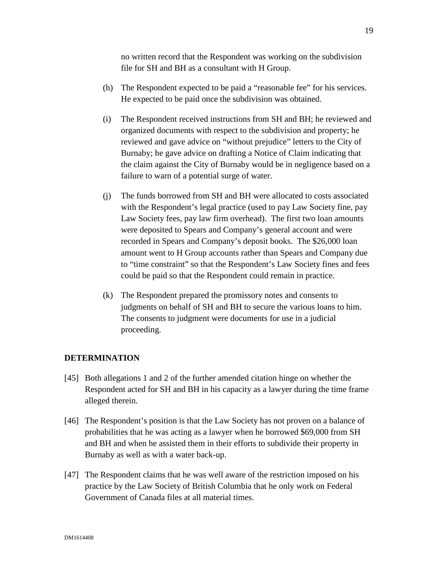no written record that the Respondent was working on the subdivision file for SH and BH as a consultant with H Group.

- (h) The Respondent expected to be paid a "reasonable fee" for his services. He expected to be paid once the subdivision was obtained.
- (i) The Respondent received instructions from SH and BH; he reviewed and organized documents with respect to the subdivision and property; he reviewed and gave advice on "without prejudice" letters to the City of Burnaby; he gave advice on drafting a Notice of Claim indicating that the claim against the City of Burnaby would be in negligence based on a failure to warn of a potential surge of water.
- (j) The funds borrowed from SH and BH were allocated to costs associated with the Respondent's legal practice (used to pay Law Society fine, pay Law Society fees, pay law firm overhead). The first two loan amounts were deposited to Spears and Company's general account and were recorded in Spears and Company's deposit books. The \$26,000 loan amount went to H Group accounts rather than Spears and Company due to "time constraint" so that the Respondent's Law Society fines and fees could be paid so that the Respondent could remain in practice.
- (k) The Respondent prepared the promissory notes and consents to judgments on behalf of SH and BH to secure the various loans to him. The consents to judgment were documents for use in a judicial proceeding.

### **DETERMINATION**

- [45] Both allegations 1 and 2 of the further amended citation hinge on whether the Respondent acted for SH and BH in his capacity as a lawyer during the time frame alleged therein.
- [46] The Respondent's position is that the Law Society has not proven on a balance of probabilities that he was acting as a lawyer when he borrowed \$69,000 from SH and BH and when he assisted them in their efforts to subdivide their property in Burnaby as well as with a water back-up.
- [47] The Respondent claims that he was well aware of the restriction imposed on his practice by the Law Society of British Columbia that he only work on Federal Government of Canada files at all material times.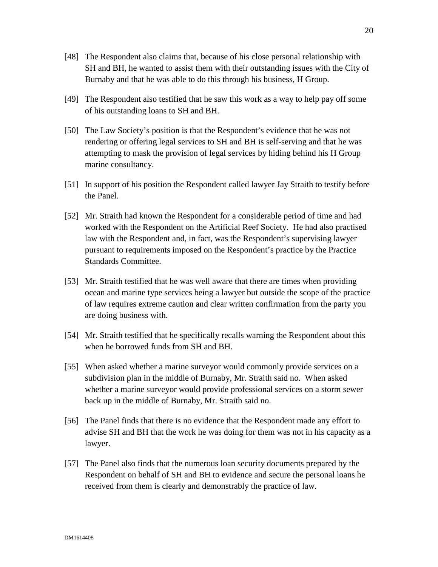- [48] The Respondent also claims that, because of his close personal relationship with SH and BH, he wanted to assist them with their outstanding issues with the City of Burnaby and that he was able to do this through his business, H Group.
- [49] The Respondent also testified that he saw this work as a way to help pay off some of his outstanding loans to SH and BH.
- [50] The Law Society's position is that the Respondent's evidence that he was not rendering or offering legal services to SH and BH is self-serving and that he was attempting to mask the provision of legal services by hiding behind his H Group marine consultancy.
- [51] In support of his position the Respondent called lawyer Jay Straith to testify before the Panel.
- [52] Mr. Straith had known the Respondent for a considerable period of time and had worked with the Respondent on the Artificial Reef Society. He had also practised law with the Respondent and, in fact, was the Respondent's supervising lawyer pursuant to requirements imposed on the Respondent's practice by the Practice Standards Committee.
- [53] Mr. Straith testified that he was well aware that there are times when providing ocean and marine type services being a lawyer but outside the scope of the practice of law requires extreme caution and clear written confirmation from the party you are doing business with.
- [54] Mr. Straith testified that he specifically recalls warning the Respondent about this when he borrowed funds from SH and BH.
- [55] When asked whether a marine surveyor would commonly provide services on a subdivision plan in the middle of Burnaby, Mr. Straith said no. When asked whether a marine surveyor would provide professional services on a storm sewer back up in the middle of Burnaby, Mr. Straith said no.
- [56] The Panel finds that there is no evidence that the Respondent made any effort to advise SH and BH that the work he was doing for them was not in his capacity as a lawyer.
- [57] The Panel also finds that the numerous loan security documents prepared by the Respondent on behalf of SH and BH to evidence and secure the personal loans he received from them is clearly and demonstrably the practice of law.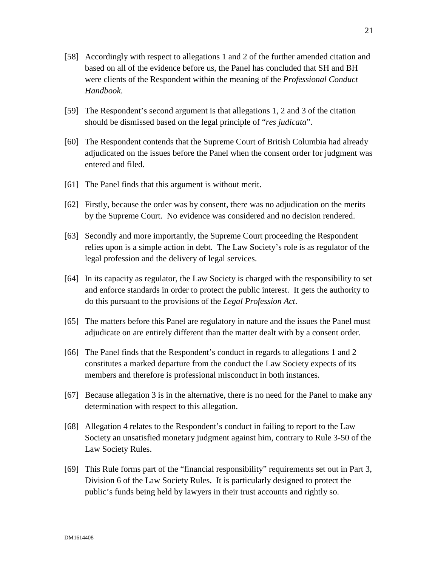- [58] Accordingly with respect to allegations 1 and 2 of the further amended citation and based on all of the evidence before us, the Panel has concluded that SH and BH were clients of the Respondent within the meaning of the *Professional Conduct Handbook*.
- [59] The Respondent's second argument is that allegations 1, 2 and 3 of the citation should be dismissed based on the legal principle of "*res judicata*".
- [60] The Respondent contends that the Supreme Court of British Columbia had already adjudicated on the issues before the Panel when the consent order for judgment was entered and filed.
- [61] The Panel finds that this argument is without merit.
- [62] Firstly, because the order was by consent, there was no adjudication on the merits by the Supreme Court. No evidence was considered and no decision rendered.
- [63] Secondly and more importantly, the Supreme Court proceeding the Respondent relies upon is a simple action in debt. The Law Society's role is as regulator of the legal profession and the delivery of legal services.
- [64] In its capacity as regulator, the Law Society is charged with the responsibility to set and enforce standards in order to protect the public interest. It gets the authority to do this pursuant to the provisions of the *Legal Profession Act*.
- [65] The matters before this Panel are regulatory in nature and the issues the Panel must adjudicate on are entirely different than the matter dealt with by a consent order.
- [66] The Panel finds that the Respondent's conduct in regards to allegations 1 and 2 constitutes a marked departure from the conduct the Law Society expects of its members and therefore is professional misconduct in both instances.
- [67] Because allegation 3 is in the alternative, there is no need for the Panel to make any determination with respect to this allegation.
- [68] Allegation 4 relates to the Respondent's conduct in failing to report to the Law Society an unsatisfied monetary judgment against him, contrary to Rule 3-50 of the Law Society Rules.
- [69] This Rule forms part of the "financial responsibility" requirements set out in Part 3, Division 6 of the Law Society Rules. It is particularly designed to protect the public's funds being held by lawyers in their trust accounts and rightly so.